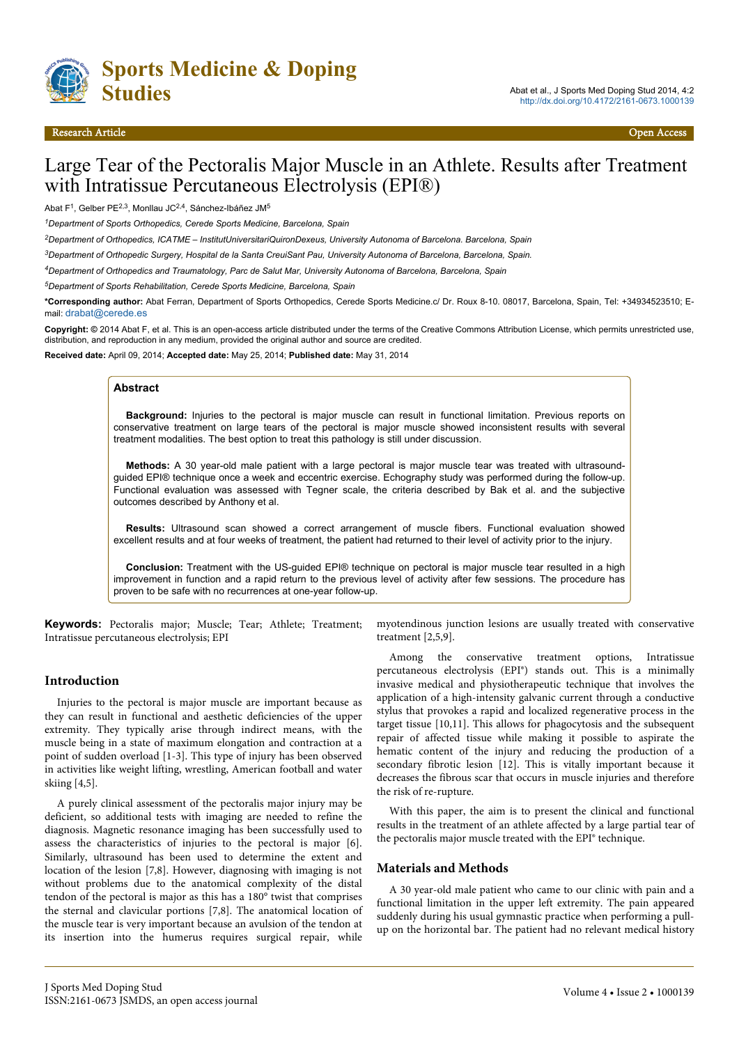

# Large Tear of the Pectoralis Major Muscle in an Athlete. Results after Treatment with Intratissue Percutaneous Electrolysis (EPI®)

Abat F<sup>1</sup>, Gelber PE<sup>2,3</sup>, Monllau JC<sup>2,4</sup>, Sánchez-Ibáñez JM<sup>5</sup>

*<sup>1</sup>Department of Sports Orthopedics, Cerede Sports Medicine, Barcelona, Spain*

*<sup>2</sup>Department of Orthopedics, ICATME – InstitutUniversitariQuironDexeus, University Autonoma of Barcelona. Barcelona, Spain*

*<sup>3</sup>Department of Orthopedic Surgery, Hospital de la Santa CreuiSant Pau, University Autonoma of Barcelona, Barcelona, Spain.*

*<sup>4</sup>Department of Orthopedics and Traumatology, Parc de Salut Mar, University Autonoma of Barcelona, Barcelona, Spain*

*<sup>5</sup>Department of Sports Rehabilitation, Cerede Sports Medicine, Barcelona, Spain*

**\*Corresponding author:** Abat Ferran, Department of Sports Orthopedics, Cerede Sports Medicine.c/ Dr. Roux 8-10. 08017, Barcelona, Spain, Tel: +34934523510; Email: [drabat@cerede.es](mailto:drabat@cerede.es)

**Copyright: ©** 2014 Abat F, et al. This is an open-access article distributed under the terms of the Creative Commons Attribution License, which permits unrestricted use, distribution, and reproduction in any medium, provided the original author and source are credited.

**Received date:** April 09, 2014; **Accepted date:** May 25, 2014; **Published date:** May 31, 2014

#### **Abstract**

**Background:** Injuries to the pectoral is major muscle can result in functional limitation. Previous reports on conservative treatment on large tears of the pectoral is major muscle showed inconsistent results with several treatment modalities. The best option to treat this pathology is still under discussion.

**Methods:** A 30 year-old male patient with a large pectoral is major muscle tear was treated with ultrasoundguided EPI® technique once a week and eccentric exercise. Echography study was performed during the follow-up. Functional evaluation was assessed with Tegner scale, the criteria described by Bak et al. and the subjective outcomes described by Anthony et al.

**Results:** Ultrasound scan showed a correct arrangement of muscle fibers. Functional evaluation showed excellent results and at four weeks of treatment, the patient had returned to their level of activity prior to the injury.

**Conclusion:** Treatment with the US-guided EPI® technique on pectoral is major muscle tear resulted in a high improvement in function and a rapid return to the previous level of activity after few sessions. The procedure has proven to be safe with no recurrences at one-year follow-up.

**Keywords:** Pectoralis major; Muscle; Tear; Athlete; Treatment; Intratissue percutaneous electrolysis; EPI

### **Introduction**

Injuries to the pectoral is major muscle are important because as they can result in functional and aesthetic deficiencies of the upper extremity. They typically arise through indirect means, with the muscle being in a state of maximum elongation and contraction at a point of sudden overload [1-3]. This type of injury has been observed in activities like weight lifting, wrestling, American football and water skiing [4,5].

A purely clinical assessment of the pectoralis major injury may be deficient, so additional tests with imaging are needed to refine the diagnosis. Magnetic resonance imaging has been successfully used to assess the characteristics of injuries to the pectoral is major [6]. Similarly, ultrasound has been used to determine the extent and location of the lesion [7,8]. However, diagnosing with imaging is not without problems due to the anatomical complexity of the distal tendon of the pectoral is major as this has a 180° twist that comprises the sternal and clavicular portions [7,8]. The anatomical location of the muscle tear is very important because an avulsion of the tendon at its insertion into the humerus requires surgical repair, while

myotendinous junction lesions are usually treated with conservative treatment [2,5,9].

Among the conservative treatment options, Intratissue percutaneous electrolysis (EPI®) stands out. This is a minimally invasive medical and physiotherapeutic technique that involves the application of a high-intensity galvanic current through a conductive stylus that provokes a rapid and localized regenerative process in the target tissue [10,11]. This allows for phagocytosis and the subsequent repair of affected tissue while making it possible to aspirate the hematic content of the injury and reducing the production of a secondary fibrotic lesion [12]. This is vitally important because it decreases the fibrous scar that occurs in muscle injuries and therefore the risk of re-rupture.

With this paper, the aim is to present the clinical and functional results in the treatment of an athlete affected by a large partial tear of the pectoralis major muscle treated with the EPI® technique.

## **Materials and Methods**

A 30 year-old male patient who came to our clinic with pain and a functional limitation in the upper left extremity. The pain appeared suddenly during his usual gymnastic practice when performing a pullup on the horizontal bar. The patient had no relevant medical history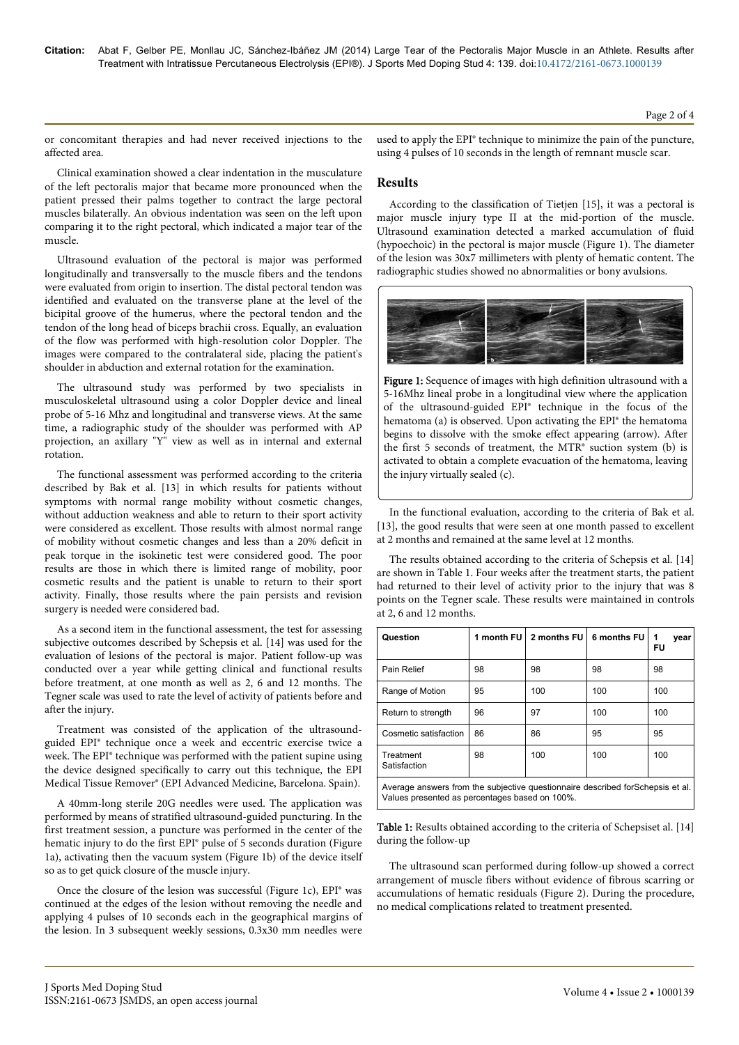or concomitant therapies and had never received injections to the affected area.

Clinical examination showed a clear indentation in the musculature of the left pectoralis major that became more pronounced when the patient pressed their palms together to contract the large pectoral muscles bilaterally. An obvious indentation was seen on the left upon comparing it to the right pectoral, which indicated a major tear of the muscle.

Ultrasound evaluation of the pectoral is major was performed longitudinally and transversally to the muscle fibers and the tendons were evaluated from origin to insertion. The distal pectoral tendon was identified and evaluated on the transverse plane at the level of the bicipital groove of the humerus, where the pectoral tendon and the tendon of the long head of biceps brachii cross. Equally, an evaluation of the flow was performed with high-resolution color Doppler. The images were compared to the contralateral side, placing the patient's shoulder in abduction and external rotation for the examination.

The ultrasound study was performed by two specialists in musculoskeletal ultrasound using a color Doppler device and lineal probe of 5-16 Mhz and longitudinal and transverse views. At the same time, a radiographic study of the shoulder was performed with AP projection, an axillary "Y" view as well as in internal and external rotation.

The functional assessment was performed according to the criteria described by Bak et al. [13] in which results for patients without symptoms with normal range mobility without cosmetic changes, without adduction weakness and able to return to their sport activity were considered as excellent. Those results with almost normal range of mobility without cosmetic changes and less than a 20% deficit in peak torque in the isokinetic test were considered good. The poor results are those in which there is limited range of mobility, poor cosmetic results and the patient is unable to return to their sport activity. Finally, those results where the pain persists and revision surgery is needed were considered bad.

As a second item in the functional assessment, the test for assessing subjective outcomes described by Schepsis et al. [14] was used for the evaluation of lesions of the pectoral is major. Patient follow-up was conducted over a year while getting clinical and functional results before treatment, at one month as well as 2, 6 and 12 months. The Tegner scale was used to rate the level of activity of patients before and after the injury.

Treatment was consisted of the application of the ultrasoundguided EPI® technique once a week and eccentric exercise twice a week. The EPI® technique was performed with the patient supine using the device designed specifically to carry out this technique, the EPI Medical Tissue Remover® (EPI Advanced Medicine, Barcelona. Spain).

A 40mm-long sterile 20G needles were used. The application was performed by means of stratified ultrasound-guided puncturing. In the first treatment session, a puncture was performed in the center of the hematic injury to do the first EPI® pulse of 5 seconds duration (Figure 1a), activating then the vacuum system (Figure 1b) of the device itself so as to get quick closure of the muscle injury.

Once the closure of the lesion was successful (Figure 1c), EPI® was continued at the edges of the lesion without removing the needle and applying 4 pulses of 10 seconds each in the geographical margins of the lesion. In 3 subsequent weekly sessions, 0.3x30 mm needles were used to apply the EPI® technique to minimize the pain of the puncture, using 4 pulses of 10 seconds in the length of remnant muscle scar.

## **Results**

According to the classification of Tietjen [15], it was a pectoral is major muscle injury type II at the mid-portion of the muscle. Ultrasound examination detected a marked accumulation of fluid (hypoechoic) in the pectoral is major muscle (Figure 1). The diameter of the lesion was 30x7 millimeters with plenty of hematic content. The radiographic studies showed no abnormalities or bony avulsions.



Figure 1: Sequence of images with high definition ultrasound with a 5-16Mhz lineal probe in a longitudinal view where the application of the ultrasound-guided EPI® technique in the focus of the hematoma (a) is observed. Upon activating the EPI® the hematoma begins to dissolve with the smoke effect appearing (arrow). After the first 5 seconds of treatment, the MTR® suction system (b) is activated to obtain a complete evacuation of the hematoma, leaving the injury virtually sealed (c).

In the functional evaluation, according to the criteria of Bak et al. [13], the good results that were seen at one month passed to excellent at 2 months and remained at the same level at 12 months.

The results obtained according to the criteria of Schepsis et al. [14] are shown in Table 1. Four weeks after the treatment starts, the patient had returned to their level of activity prior to the injury that was 8 points on the Tegner scale. These results were maintained in controls at 2, 6 and 12 months.

| Question                                                                                                                          | 1 month FU | 2 months FU | 6 months FU | 1<br>year<br>FU |
|-----------------------------------------------------------------------------------------------------------------------------------|------------|-------------|-------------|-----------------|
| Pain Relief                                                                                                                       | 98         | 98          | 98          | 98              |
| Range of Motion                                                                                                                   | 95         | 100         | 100         | 100             |
| Return to strength                                                                                                                | 96         | 97          | 100         | 100             |
| Cosmetic satisfaction                                                                                                             | 86         | 86          | 95          | 95              |
| Treatment<br>Satisfaction                                                                                                         | 98         | 100         | 100         | 100             |
| Average answers from the subjective questionnaire described for Schepsis et al.<br>Values presented as percentages based on 100%. |            |             |             |                 |

Table 1: Results obtained according to the criteria of Schepsiset al. [14] during the follow-up

The ultrasound scan performed during follow-up showed a correct arrangement of muscle fibers without evidence of fibrous scarring or accumulations of hematic residuals (Figure 2). During the procedure, no medical complications related to treatment presented.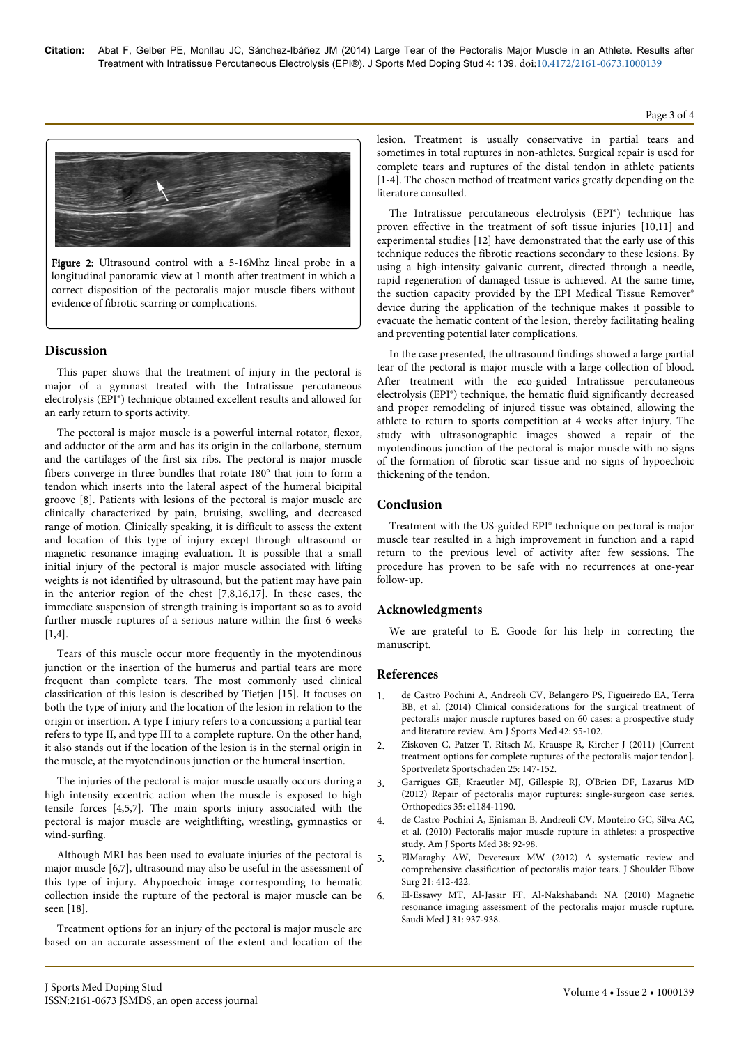

Figure 2: Ultrasound control with a 5-16Mhz lineal probe in a longitudinal panoramic view at 1 month after treatment in which a correct disposition of the pectoralis major muscle fibers without evidence of fibrotic scarring or complications.

## **Discussion**

This paper shows that the treatment of injury in the pectoral is major of a gymnast treated with the Intratissue percutaneous electrolysis (EPI®) technique obtained excellent results and allowed for an early return to sports activity.

The pectoral is major muscle is a powerful internal rotator, flexor, and adductor of the arm and has its origin in the collarbone, sternum and the cartilages of the first six ribs. The pectoral is major muscle fibers converge in three bundles that rotate 180° that join to form a tendon which inserts into the lateral aspect of the humeral bicipital groove [8]. Patients with lesions of the pectoral is major muscle are clinically characterized by pain, bruising, swelling, and decreased range of motion. Clinically speaking, it is difficult to assess the extent and location of this type of injury except through ultrasound or magnetic resonance imaging evaluation. It is possible that a small initial injury of the pectoral is major muscle associated with lifting weights is not identified by ultrasound, but the patient may have pain in the anterior region of the chest [7,8,16,17]. In these cases, the immediate suspension of strength training is important so as to avoid further muscle ruptures of a serious nature within the first 6 weeks  $[1,4]$ .

Tears of this muscle occur more frequently in the myotendinous junction or the insertion of the humerus and partial tears are more frequent than complete tears. The most commonly used clinical classification of this lesion is described by Tietjen [15]. It focuses on both the type of injury and the location of the lesion in relation to the origin or insertion. A type I injury refers to a concussion; a partial tear refers to type II, and type III to a complete rupture. On the other hand, it also stands out if the location of the lesion is in the sternal origin in the muscle, at the myotendinous junction or the humeral insertion.

The injuries of the pectoral is major muscle usually occurs during a high intensity eccentric action when the muscle is exposed to high tensile forces [4,5,7]. The main sports injury associated with the pectoral is major muscle are weightlifting, wrestling, gymnastics or wind-surfing.

Although MRI has been used to evaluate injuries of the pectoral is major muscle [6,7], ultrasound may also be useful in the assessment of this type of injury. Ahypoechoic image corresponding to hematic collection inside the rupture of the pectoral is major muscle can be seen [18].

Treatment options for an injury of the pectoral is major muscle are based on an accurate assessment of the extent and location of the lesion. Treatment is usually conservative in partial tears and sometimes in total ruptures in non-athletes. Surgical repair is used for complete tears and ruptures of the distal tendon in athlete patients [1-4]. The chosen method of treatment varies greatly depending on the literature consulted.

The Intratissue percutaneous electrolysis (EPI®) technique has proven effective in the treatment of soft tissue injuries [10,11] and experimental studies [12] have demonstrated that the early use of this technique reduces the fibrotic reactions secondary to these lesions. By using a high-intensity galvanic current, directed through a needle, rapid regeneration of damaged tissue is achieved. At the same time, the suction capacity provided by the EPI Medical Tissue Remover® device during the application of the technique makes it possible to evacuate the hematic content of the lesion, thereby facilitating healing and preventing potential later complications.

In the case presented, the ultrasound findings showed a large partial tear of the pectoral is major muscle with a large collection of blood. After treatment with the eco-guided Intratissue percutaneous electrolysis (EPI®) technique, the hematic fluid significantly decreased and proper remodeling of injured tissue was obtained, allowing the athlete to return to sports competition at 4 weeks after injury. The study with ultrasonographic images showed a repair of the myotendinous junction of the pectoral is major muscle with no signs of the formation of fibrotic scar tissue and no signs of hypoechoic thickening of the tendon.

## **Conclusion**

Treatment with the US-guided EPI® technique on pectoral is major muscle tear resulted in a high improvement in function and a rapid return to the previous level of activity after few sessions. The procedure has proven to be safe with no recurrences at one-year follow-up.

## **Acknowledgments**

We are grateful to E. Goode for his help in correcting the manuscript.

## **References**

- 1. [de Castro Pochini A, Andreoli CV, Belangero PS, Figueiredo EA, Terra](http://www.ncbi.nlm.nih.gov/pubmed/24192390) [BB, et al. \(2014\) Clinical considerations for the surgical treatment of](http://www.ncbi.nlm.nih.gov/pubmed/24192390) [pectoralis major muscle ruptures based on 60 cases: a prospective study](http://www.ncbi.nlm.nih.gov/pubmed/24192390) [and literature review. Am J Sports Med 42: 95-102.](http://www.ncbi.nlm.nih.gov/pubmed/24192390)
- 2. [Ziskoven C, Patzer T, Ritsch M, Krauspe R, Kircher J \(2011\) \[Current](http://www.ncbi.nlm.nih.gov/pubmed/21922436) [treatment options for complete ruptures of the pectoralis major tendon\].](http://www.ncbi.nlm.nih.gov/pubmed/21922436) [Sportverletz Sportschaden 25: 147-152.](http://www.ncbi.nlm.nih.gov/pubmed/21922436)
- 3. [Garrigues GE, Kraeutler MJ, Gillespie RJ, O'Brien DF, Lazarus MD](http://www.ncbi.nlm.nih.gov/pubmed/22868603) [\(2012\) Repair of pectoralis major ruptures: single-surgeon case series.](http://www.ncbi.nlm.nih.gov/pubmed/22868603) [Orthopedics 35: e1184-1190.](http://www.ncbi.nlm.nih.gov/pubmed/22868603)
- 4. [de Castro Pochini A, Ejnisman B, Andreoli CV, Monteiro GC, Silva AC,](http://www.ncbi.nlm.nih.gov/pubmed/19880715) [et al. \(2010\) Pectoralis major muscle rupture in athletes: a prospective](http://www.ncbi.nlm.nih.gov/pubmed/19880715) [study. Am J Sports Med 38: 92-98.](http://www.ncbi.nlm.nih.gov/pubmed/19880715)
- 5. [ElMaraghy AW, Devereaux MW \(2012\) A systematic review and](http://www.ncbi.nlm.nih.gov/pubmed/21831661) [comprehensive classification of pectoralis major tears. J Shoulder Elbow](http://www.ncbi.nlm.nih.gov/pubmed/21831661) [Surg 21: 412-422.](http://www.ncbi.nlm.nih.gov/pubmed/21831661)
- 6. [El-Essawy MT, Al-Jassir FF, Al-Nakshabandi NA \(2010\) Magnetic](http://www.ncbi.nlm.nih.gov/pubmed/20714696) [resonance imaging assessment of the pectoralis major muscle rupture.](http://www.ncbi.nlm.nih.gov/pubmed/20714696) [Saudi Med J 31: 937-938.](http://www.ncbi.nlm.nih.gov/pubmed/20714696)

Page 3 of 4